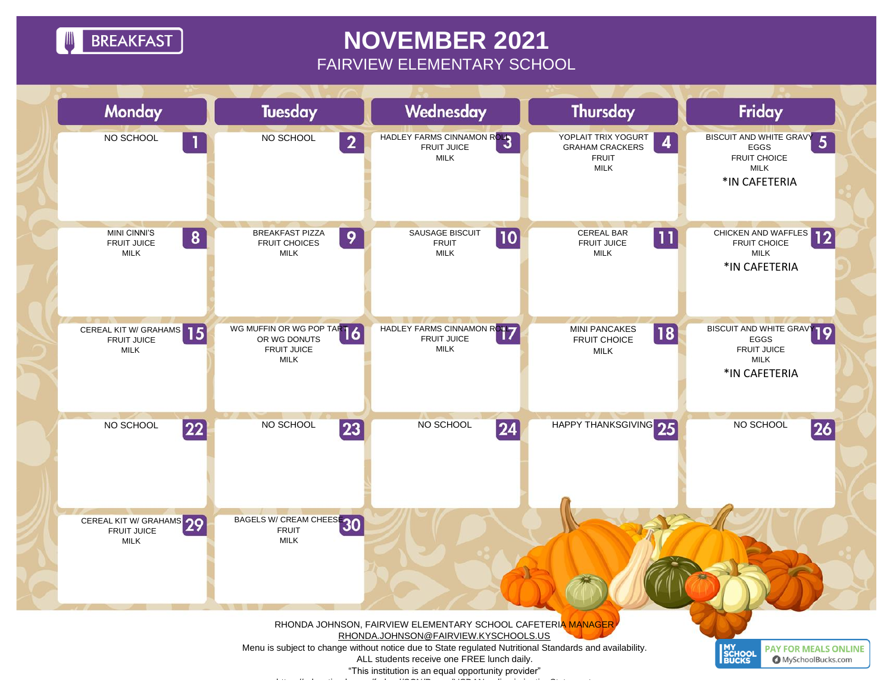**BREAKFAST** 

## **NOVEMBER 2021** FAIRVIEW ELEMENTARY SCHOOL



"This institution is an equal opportunity provider" <https://education.ky.gov/federal/SCN/Pages/USDANondiscriminationStatement.aspx>